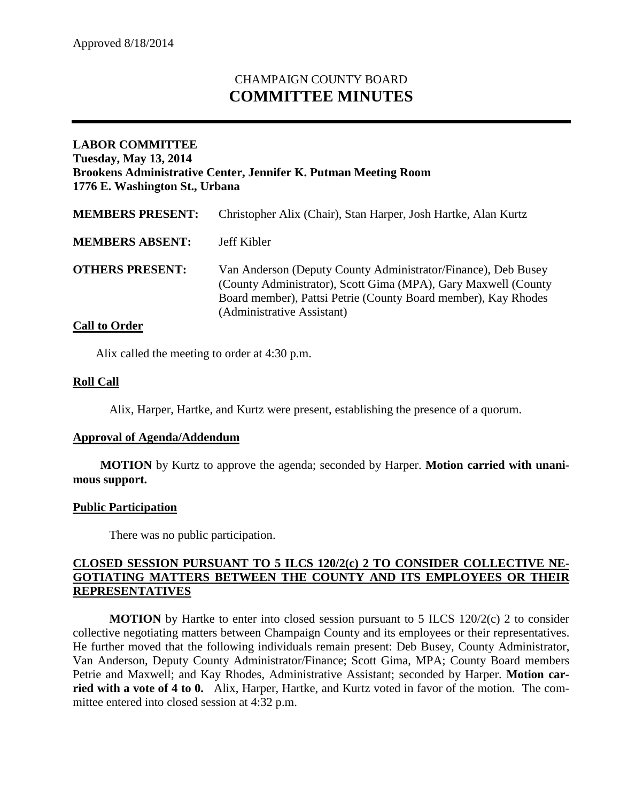# CHAMPAIGN COUNTY BOARD **COMMITTEE MINUTES**

# **LABOR COMMITTEE Tuesday, May 13, 2014 Brookens Administrative Center, Jennifer K. Putman Meeting Room 1776 E. Washington St., Urbana**

| <b>MEMBERS PRESENT:</b> | Christopher Alix (Chair), Stan Harper, Josh Hartke, Alan Kurtz                                                                                                                                                                  |
|-------------------------|---------------------------------------------------------------------------------------------------------------------------------------------------------------------------------------------------------------------------------|
| <b>MEMBERS ABSENT:</b>  | Jeff Kibler                                                                                                                                                                                                                     |
| <b>OTHERS PRESENT:</b>  | Van Anderson (Deputy County Administrator/Finance), Deb Busey<br>(County Administrator), Scott Gima (MPA), Gary Maxwell (County<br>Board member), Pattsi Petrie (County Board member), Kay Rhodes<br>(Administrative Assistant) |

## **Call to Order**

Alix called the meeting to order at 4:30 p.m.

## **Roll Call**

Alix, Harper, Hartke, and Kurtz were present, establishing the presence of a quorum.

#### **Approval of Agenda/Addendum**

**MOTION** by Kurtz to approve the agenda; seconded by Harper. **Motion carried with unanimous support.**

#### **Public Participation**

There was no public participation.

## **CLOSED SESSION PURSUANT TO 5 ILCS 120/2(c) 2 TO CONSIDER COLLECTIVE NE-GOTIATING MATTERS BETWEEN THE COUNTY AND ITS EMPLOYEES OR THEIR REPRESENTATIVES**

**MOTION** by Hartke to enter into closed session pursuant to 5 ILCS 120/2(c) 2 to consider collective negotiating matters between Champaign County and its employees or their representatives. He further moved that the following individuals remain present: Deb Busey, County Administrator, Van Anderson, Deputy County Administrator/Finance; Scott Gima, MPA; County Board members Petrie and Maxwell; and Kay Rhodes, Administrative Assistant; seconded by Harper. **Motion carried with a vote of 4 to 0.** Alix, Harper, Hartke, and Kurtz voted in favor of the motion. The committee entered into closed session at 4:32 p.m.